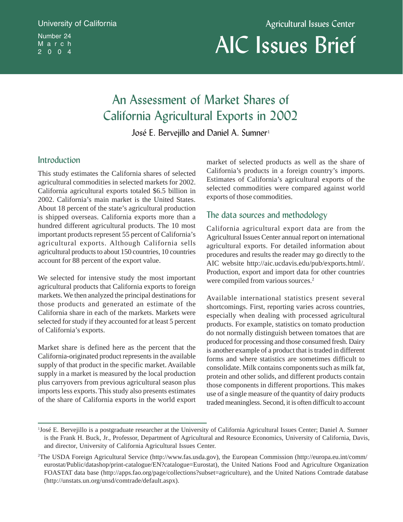# University of California Number 24 March 2004

Agricultural Issues Center

# AIC Issues Brief

# An Assessment of Market Shares of California Agricultural Exports in 2002

José E. Bervejillo and Daniel A. Sumner<sup>1</sup>

# Introduction

This study estimates the California shares of selected agricultural commodities in selected markets for 2002. California agricultural exports totaled \$6.5 billion in 2002. California's main market is the United States. About 18 percent of the state's agricultural production is shipped overseas. California exports more than a hundred different agricultural products. The 10 most important products represent 55 percent of California's agricultural exports. Although California sells agricultural products to about 150 countries, 10 countries account for 88 percent of the export value.

We selected for intensive study the most important agricultural products that California exports to foreign markets. We then analyzed the principal destinations for those products and generated an estimate of the California share in each of the markets. Markets were selected for study if they accounted for at least 5 percent of California's exports.

Market share is defined here as the percent that the California-originated product represents in the available supply of that product in the specific market. Available supply in a market is measured by the local production plus carryovers from previous agricultural season plus imports less exports. This study also presents estimates of the share of California exports in the world export

market of selected products as well as the share of California's products in a foreign country's imports. Estimates of California's agricultural exports of the selected commodities were compared against world exports of those commodities.

# The data sources and methodology

California agricultural export data are from the Agricultural Issues Center annual report on international agricultural exports. For detailed information about procedures and results the reader may go directly to the AIC website http://aic.ucdavis.edu/pub/exports.html/. Production, export and import data for other countries were compiled from various sources.<sup>2</sup>

Available international statistics present several shortcomings. First, reporting varies across countries, especially when dealing with processed agricultural products. For example, statistics on tomato production do not normally distinguish between tomatoes that are produced for processing and those consumed fresh. Dairy is another example of a product that is traded in different forms and where statistics are sometimes difficult to consolidate. Milk contains components such as milk fat, protein and other solids, and different products contain those components in different proportions. This makes use of a single measure of the quantity of dairy products traded meaningless. Second, it is often difficult to account

<sup>1</sup> José E. Bervejillo is a postgraduate researcher at the University of California Agricultural Issues Center; Daniel A. Sumner is the Frank H. Buck, Jr., Professor, Department of Agricultural and Resource Economics, University of California, Davis, and director, University of California Agricultural Issues Center.

<sup>2</sup> The USDA Foreign Agricultural Service (http://www.fas.usda.gov), the European Commission (http://europa.eu.int/comm/ eurostat/Public/datashop/print-catalogue/EN?catalogue=Eurostat), the United Nations Food and Agriculture Organization FOASTAT data base (http://apps.fao.org/page/collections?subset=agriculture), and the United Nations Comtrade database (http://unstats.un.org/unsd/comtrade/default.aspx).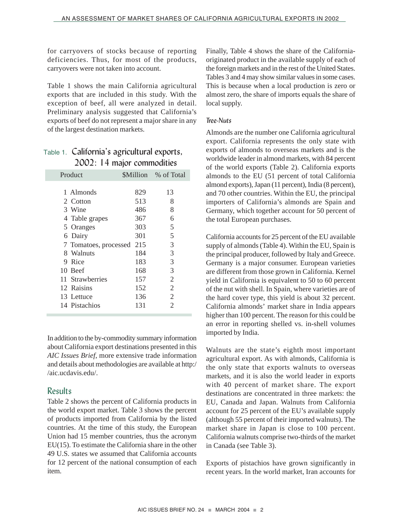for carryovers of stocks because of reporting deficiencies. Thus, for most of the products, carryovers were not taken into account.

Table 1 shows the main California agricultural exports that are included in this study. With the exception of beef, all were analyzed in detail. Preliminary analysis suggested that California's exports of beef do not represent a major share in any of the largest destination markets.

# Table 1. California's agricultural exports, 2002: 14 major commodities

| Product               |     | <b>SMillion</b> % of Total |
|-----------------------|-----|----------------------------|
| 1 Almonds             | 829 | 13                         |
| 2 Cotton              | 513 | 8                          |
| 3 Wine                | 486 | 8                          |
| 4 Table grapes        | 367 | 6                          |
| 5 Oranges             | 303 | 5                          |
| 6 Dairy               | 301 | 5                          |
| 7 Tomatoes, processed | 215 | 3                          |
| 8 Walnuts             | 184 | 3                          |
| 9 Rice                | 183 | 3                          |
| 10 Beef               | 168 | 3                          |
| 11 Strawberries       | 157 | 2                          |
| 12 Raisins            | 152 | $\overline{2}$             |
| 13 Lettuce            | 136 | 2                          |
| 14 Pistachios         | 131 | 2                          |

In addition to the by-commodity summary information about California export destinations presented in this *AIC Issues Brief*, more extensive trade information and details about methodologies are available at http:/ /aic.ucdavis.edu/.

# Results

Table 2 shows the percent of California products in the world export market. Table 3 shows the percent of products imported from California by the listed countries. At the time of this study, the European Union had 15 member countries, thus the acronym EU(15). To estimate the California share in the other 49 U.S. states we assumed that California accounts for 12 percent of the national consumption of each item.

Finally, Table 4 shows the share of the Californiaoriginated product in the available supply of each of the foreign markets and in the rest of the United States. Tables 3 and 4 may show similar values in some cases. This is because when a local production is zero or almost zero, the share of imports equals the share of local supply.

#### *Tree-Nuts*

Almonds are the number one California agricultural export. California represents the only state with exports of almonds to overseas markets and is the worldwide leader in almond markets, with 84 percent of the world exports (Table 2). California exports almonds to the EU (51 percent of total California almond exports), Japan (11 percent), India (8 percent), and 70 other countries. Within the EU, the principal importers of California's almonds are Spain and Germany, which together account for 50 percent of the total European purchases.

California accounts for 25 percent of the EU available supply of almonds (Table 4). Within the EU, Spain is the principal producer, followed by Italy and Greece. Germany is a major consumer. European varieties are different from those grown in California. Kernel yield in California is equivalent to 50 to 60 percent of the nut with shell. In Spain, where varieties are of the hard cover type, this yield is about 32 percent. California almonds' market share in India appears higher than 100 percent. The reason for this could be an error in reporting shelled vs. in-shell volumes imported by India.

Walnuts are the state's eighth most important agricultural export. As with almonds, California is the only state that exports walnuts to overseas markets, and it is also the world leader in exports with 40 percent of market share. The export destinations are concentrated in three markets: the EU, Canada and Japan. Walnuts from California account for 25 percent of the EU's available supply (although 55 percent of their imported walnuts). The market share in Japan is close to 100 percent. California walnuts comprise two-thirds of the market in Canada (see Table 3).

Exports of pistachios have grown significantly in recent years. In the world market, Iran accounts for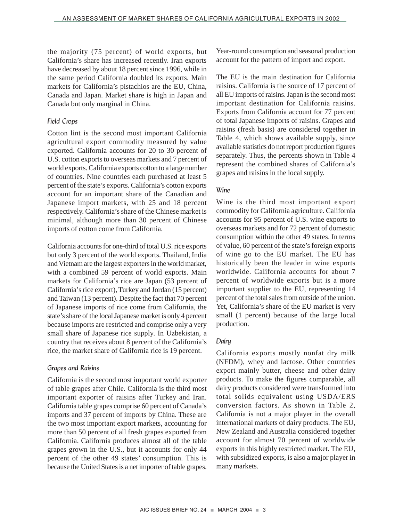the majority (75 percent) of world exports, but California's share has increased recently. Iran exports have decreased by about 18 percent since 1996, while in the same period California doubled its exports. Main markets for California's pistachios are the EU, China, Canada and Japan. Market share is high in Japan and Canada but only marginal in China.

#### *Field Crops*

Cotton lint is the second most important California agricultural export commodity measured by value exported. California accounts for 20 to 30 percent of U.S. cotton exports to overseas markets and 7 percent of world exports. California exports cotton to a large number of countries. Nine countries each purchased at least 5 percent of the state's exports. California's cotton exports account for an important share of the Canadian and Japanese import markets, with 25 and 18 percent respectively. California's share of the Chinese market is minimal, although more than 30 percent of Chinese imports of cotton come from California.

California accounts for one-third of total U.S. rice exports but only 3 percent of the world exports. Thailand, India and Vietnam are the largest exporters in the world market, with a combined 59 percent of world exports. Main markets for California's rice are Japan (53 percent of California's rice export), Turkey and Jordan (15 percent) and Taiwan (13 percent). Despite the fact that 70 percent of Japanese imports of rice come from California, the state's share of the local Japanese market is only 4 percent because imports are restricted and comprise only a very small share of Japanese rice supply. In Uzbekistan, a country that receives about 8 percent of the California's rice, the market share of California rice is 19 percent.

#### *Grapes and Raisins*

California is the second most important world exporter of table grapes after Chile. California is the third most important exporter of raisins after Turkey and Iran. California table grapes comprise 60 percent of Canada's imports and 37 percent of imports by China. These are the two most important export markets, accounting for more than 50 percent of all fresh grapes exported from California. California produces almost all of the table grapes grown in the U.S., but it accounts for only 44 percent of the other 49 states' consumption. This is because the United States is a net importer of table grapes.

Year-round consumption and seasonal production account for the pattern of import and export.

The EU is the main destination for California raisins. California is the source of 17 percent of all EU imports of raisins. Japan is the second most important destination for California raisins. Exports from California account for 77 percent of total Japanese imports of raisins. Grapes and raisins (fresh basis) are considered together in Table 4, which shows available supply, since available statistics do not report production figures separately. Thus, the percents shown in Table 4 represent the combined shares of California's grapes and raisins in the local supply.

#### *Wine*

Wine is the third most important export commodity for California agriculture. California accounts for 95 percent of U.S. wine exports to overseas markets and for 72 percent of domestic consumption within the other 49 states. In terms of value, 60 percent of the state's foreign exports of wine go to the EU market. The EU has historically been the leader in wine exports worldwide. California accounts for about 7 percent of worldwide exports but is a more important supplier to the EU, representing 14 percent of the total sales from outside of the union. Yet, California's share of the EU market is very small (1 percent) because of the large local production.

#### *Dairy*

California exports mostly nonfat dry milk (NFDM), whey and lactose. Other countries export mainly butter, cheese and other dairy products. To make the figures comparable, all dairy products considered were transformed into total solids equivalent using USDA/ERS conversion factors. As shown in Table 2, California is not a major player in the overall international markets of dairy products. The EU, New Zealand and Australia considered together account for almost 70 percent of worldwide exports in this highly restricted market. The EU, with subsidized exports, is also a major player in many markets.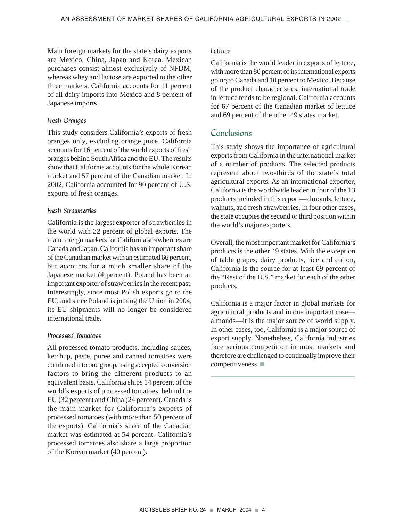Main foreign markets for the state's dairy exports are Mexico, China, Japan and Korea. Mexican purchases consist almost exclusively of NFDM, whereas whey and lactose are exported to the other three markets. California accounts for 11 percent of all dairy imports into Mexico and 8 percent of Japanese imports.

#### *Fresh Oranges*

This study considers California's exports of fresh oranges only, excluding orange juice. California accounts for 16 percent of the world exports of fresh oranges behind South Africa and the EU. The results show that California accounts for the whole Korean market and 57 percent of the Canadian market. In 2002, California accounted for 90 percent of U.S. exports of fresh oranges.

#### *Fresh Strawberries*

California is the largest exporter of strawberries in the world with 32 percent of global exports. The main foreign markets for California strawberries are Canada and Japan. California has an important share of the Canadian market with an estimated 66 percent, but accounts for a much smaller share of the Japanese market (4 percent). Poland has been an important exporter of strawberries in the recent past. Interestingly, since most Polish exports go to the EU, and since Poland is joining the Union in 2004, its EU shipments will no longer be considered international trade.

#### *Processed Tomatoes*

All processed tomato products, including sauces, ketchup, paste, puree and canned tomatoes were combined into one group, using accepted conversion factors to bring the different products to an equivalent basis. California ships 14 percent of the world's exports of processed tomatoes, behind the EU (32 percent) and China (24 percent). Canada is the main market for California's exports of processed tomatoes (with more than 50 percent of the exports). California's share of the Canadian market was estimated at 54 percent. California's processed tomatoes also share a large proportion of the Korean market (40 percent).

#### *Lettuce*

California is the world leader in exports of lettuce, with more than 80 percent of its international exports going to Canada and 10 percent to Mexico. Because of the product characteristics, international trade in lettuce tends to be regional. California accounts for 67 percent of the Canadian market of lettuce and 69 percent of the other 49 states market.

# Conclusions

This study shows the importance of agricultural exports from California in the international market of a number of products. The selected products represent about two-thirds of the state's total agricultural exports. As an international exporter, California is the worldwide leader in four of the 13 products included in this report—almonds, lettuce, walnuts, and fresh strawberries. In four other cases, the state occupies the second or third position within the world's major exporters.

Overall, the most important market for California's products is the other 49 states. With the exception of table grapes, dairy products, rice and cotton, California is the source for at least 69 percent of the "Rest of the U.S." market for each of the other products.

California is a major factor in global markets for agricultural products and in one important case almonds—it is the major source of world supply. In other cases, too, California is a major source of export supply. Nonetheless, California industries face serious competition in most markets and therefore are challenged to continually improve their competitiveness. ■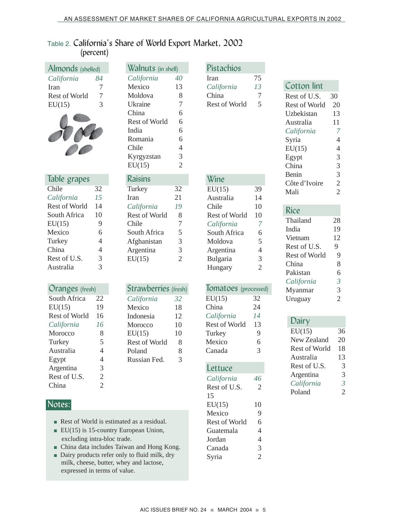# Table 2. California's Share of World Export Market, 2002 (percent)

| Almonds (shelled)           |                | Walnuts (in shell)                                  |                | Pistachios                  |                |                       |                                  |
|-----------------------------|----------------|-----------------------------------------------------|----------------|-----------------------------|----------------|-----------------------|----------------------------------|
| California                  | 84             | California                                          | 40             | Iran                        | 75             |                       |                                  |
| Iran                        | 7              | Mexico                                              | 13             | California                  | 13             | <b>Cotton lint</b>    |                                  |
| Rest of World               | $\overline{7}$ | Moldova                                             | 8              | China                       | $\tau$         | Rest of U.S.          | 30                               |
| EU(15)                      | 3              | Ukraine                                             | 7              | Rest of World               | 5              | <b>Rest of World</b>  | 20                               |
|                             |                | China                                               | 6              |                             |                | Uzbekistan            | 13                               |
|                             |                | Rest of World                                       | 6              |                             |                | Australia             | 11                               |
|                             |                | India                                               | 6              |                             |                | California            | 7                                |
|                             |                | Romania                                             | 6              |                             |                | Syria                 | $\overline{4}$                   |
|                             |                | Chile                                               | 4              |                             |                | EU(15)                | $\overline{4}$                   |
|                             |                | Kyrgyzstan                                          | 3              |                             |                | Egypt                 | 3                                |
|                             |                | EU(15)                                              | $\overline{2}$ |                             |                | China                 | 3                                |
| Table grapes                |                | <b>Raisins</b>                                      |                | Wine                        |                | Benin                 | 3                                |
| Chile                       | 32             | Turkey                                              | 32             | EU(15)                      | 39             | Côte d'Ivoire         | $\overline{2}$                   |
| California                  | 15             | Iran                                                | 21             | Australia                   | 14             | Mali                  | $\overline{2}$                   |
| Rest of World               | 14             | California                                          | 19             | Chile                       | 10             |                       |                                  |
| South Africa                | 10             | <b>Rest of World</b>                                | 8              | Rest of World               | 10             | <b>Rice</b>           |                                  |
| EU(15)                      | 9              | Chile                                               | 7              | California                  | $\overline{7}$ | Thailand              | 28                               |
| Mexico                      | 6              | South Africa                                        | 5              | South Africa                | 6              | India                 | 19                               |
| Turkey                      | $\overline{4}$ | Afghanistan                                         | 3              | Moldova                     | 5              | Vietnam               | 12                               |
| China                       | 4              | Argentina                                           | 3              | Argentina                   | $\overline{4}$ | Rest of U.S.          | 9                                |
| Rest of U.S.                | 3              | EU(15)                                              | $\overline{2}$ | Bulgaria                    | 3              | Rest of World         | 9                                |
| Australia                   | 3              |                                                     |                | Hungary                     | $\overline{2}$ | China                 | 8                                |
|                             |                |                                                     |                |                             |                | Pakistan              | 6                                |
| Oranges (fresh)             |                | <b>Strawberries (fresh)</b>                         |                | <b>Tomatoes</b> (processed) |                | California<br>Myanmar | $\mathfrak{Z}$<br>$\overline{3}$ |
| South Africa                | 22             | California                                          | 32             | EU(15)                      | 32             | Uruguay               | $\overline{2}$                   |
| EU(15)                      | 19             | Mexico                                              | 18             | China                       | 24             |                       |                                  |
| <b>Rest of World</b>        | 16             | Indonesia                                           | 12             | California                  | 14             |                       |                                  |
| California                  | 16             | Morocco                                             | 10             | Rest of World               | 13             | Dairy                 |                                  |
| Morocco                     | 8              | EU(15)                                              | 10             | Turkey                      | 9              | EU(15)                | 36                               |
| Turkey                      | 5              | Rest of World                                       | 8              | Mexico                      | 6              | New Zealand           | 20                               |
| Australia                   | 4              | Poland                                              | 8              | Canada                      | 3              | Rest of World         | 18                               |
| Egypt                       | $\overline{4}$ | Russian Fed.                                        | 3              |                             |                | Australia             | 13                               |
| Argentina                   | 3              |                                                     |                | Lettuce                     |                | Rest of U.S.          | 3                                |
| Rest of U.S.                | $\overline{c}$ |                                                     |                | California                  | 46             | Argentina             | 3                                |
| China                       | $\overline{2}$ |                                                     |                | Rest of U.S.                | $\mathfrak{2}$ | California            | $\mathfrak{Z}$                   |
|                             |                |                                                     |                | 15                          |                | Poland                | $\overline{c}$                   |
|                             |                |                                                     |                | EU(15)                      | 10             |                       |                                  |
| Notes:                      |                |                                                     |                | Mexico                      | 9              |                       |                                  |
|                             |                | Rest of World is estimated as a residual.           |                | Rest of World               | 6              |                       |                                  |
|                             |                | $\blacksquare$ EU(15) is 15-country European Union, |                | Guatemala                   | 4              |                       |                                  |
| excluding intra-bloc trade. |                |                                                     |                | Jordan                      | $\overline{4}$ |                       |                                  |
|                             |                | - China data includes Taiwan and Hong Kong.         |                | Canada                      | 3              |                       |                                  |
|                             |                |                                                     |                |                             |                |                       |                                  |

■ Dairy products refer only to fluid milk, dry milk, cheese, butter, whey and lactose, expressed in terms of value.

Syria 2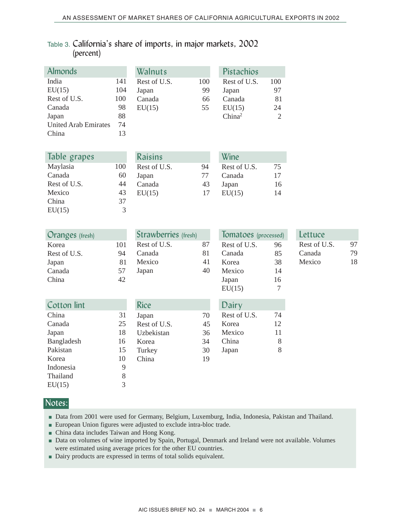# Table 3. California's share of imports, in major markets, 2002 (percent)

| <b>Almonds</b>              |     | Walnuts        |     | Pistachios         |                |
|-----------------------------|-----|----------------|-----|--------------------|----------------|
| India                       | 141 | Rest of U.S.   | 100 | Rest of U.S.       | 100            |
| EU(15)                      | 104 | Japan          | 99  | Japan              | 97             |
| Rest of U.S.                | 100 | Canada         | 66  | Canada             | 81             |
| Canada                      | 98  | EU(15)         | 55  | EU(15)             | 24             |
| Japan                       | 88  |                |     | China <sup>2</sup> | $\overline{2}$ |
| <b>United Arab Emirates</b> | 74  |                |     |                    |                |
| China                       | 13  |                |     |                    |                |
|                             |     |                |     |                    |                |
| Table grapes                |     | <b>Raisins</b> |     | Wine               |                |
| Maylasia                    | 100 | Rest of U.S.   | 94  | Rest of U.S.       | 75             |
| Canada                      | 60  | Japan          | 77  | Canada             | 17             |
| Rest of U.S.                | 44  | Canada         | 43  | Japan              | 16             |
| Mexico                      | 43  | EU(15)         | 17  | EU(15)             | 14             |
| China                       | 37  |                |     |                    |                |

| <b>Oranges</b> (fresh) |     | <b>Strawberries</b> (fresh) |    | Tomatoes (processed) |    | Lettuce      |    |
|------------------------|-----|-----------------------------|----|----------------------|----|--------------|----|
| Korea                  | 101 | Rest of U.S.                | 87 | Rest of U.S.         | 96 | Rest of U.S. | 97 |
| Rest of U.S.           | 94  | Canada                      | 81 | Canada               | 85 | Canada       | 79 |
| Japan                  | 81  | Mexico                      | 41 | Korea                | 38 | Mexico       | 18 |
| Canada                 | 57  | Japan                       | 40 | Mexico               | 14 |              |    |
| China                  | 42  |                             |    | Japan                | 16 |              |    |
|                        |     |                             |    | EU(15)               | 7  |              |    |
| <b>Cotton lint</b>     |     | <b>Rice</b>                 |    | Dairy                |    |              |    |
| China                  | 31  | Japan                       | 70 | Rest of U.S.         | 74 |              |    |
| Canada                 | 25  | Rest of U.S.                | 45 | Korea                | 12 |              |    |
| Japan                  | 18  | Uzbekistan                  | 36 | Mexico               | 11 |              |    |
| Bangladesh             | 16  | Korea                       | 34 | China                | 8  |              |    |
| Pakistan               | 15  | Turkey                      | 30 | Japan                | 8  |              |    |
| Korea                  | 10  | China                       | 19 |                      |    |              |    |
| Indonesia              | 9   |                             |    |                      |    |              |    |
| Thailand               | 8   |                             |    |                      |    |              |    |
| EU(15)                 | 3   |                             |    |                      |    |              |    |

# Notes:

EU(15)  $\overline{3}$ 

- Data from 2001 were used for Germany, Belgium, Luxemburg, India, Indonesia, Pakistan and Thailand.
- European Union figures were adjusted to exclude intra-bloc trade.
- China data includes Taiwan and Hong Kong.
- Data on volumes of wine imported by Spain, Portugal, Denmark and Ireland were not available. Volumes were estimated using average prices for the other EU countries.
- Dairy products are expressed in terms of total solids equivalent.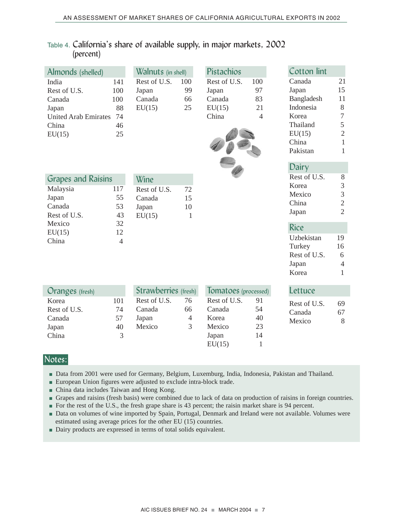# Table 4. California's share of available supply, in major markets, 2002 (percent)

| Almonds (shelled)                                                                          |                                           | Walnuts (in shell)                                |                                 | Pistachios                                                   |                                         |  | Cotton lint                                                                                    |                                                                                                  |
|--------------------------------------------------------------------------------------------|-------------------------------------------|---------------------------------------------------|---------------------------------|--------------------------------------------------------------|-----------------------------------------|--|------------------------------------------------------------------------------------------------|--------------------------------------------------------------------------------------------------|
| India<br>Rest of U.S.<br>Canada<br>Japan<br><b>United Arab Emirates</b><br>China<br>EU(15) | 141<br>100<br>100<br>88<br>74<br>46<br>25 | Rest of U.S.<br>Japan<br>Canada<br>EU(15)         | 100<br>99<br>66<br>25           | Rest of U.S.<br>Japan<br>Canada<br>EU(15)<br>China           | 100<br>97<br>83<br>21<br>$\overline{4}$ |  | Canada<br>Japan<br>Bangladesh<br>Indonesia<br>Korea<br>Thailand<br>EU(15)<br>China<br>Pakistan | 21<br>15<br>11<br>$8\,$<br>$\overline{7}$<br>5<br>$\overline{2}$<br>$\mathbf{1}$<br>$\mathbf{1}$ |
| <b>Grapes and Raisins</b><br>Malaysia<br>Japan<br>Canada<br>Rest of U.S.                   | 117<br>55<br>53<br>43                     | Wine<br>Rest of U.S.<br>Canada<br>Japan<br>EU(15) | 72<br>15<br>10<br>$\mathbf{1}$  |                                                              |                                         |  | Dairy<br>Rest of U.S.<br>Korea<br>Mexico<br>China<br>Japan                                     | $8\,$<br>$\ensuremath{\mathfrak{Z}}$<br>$\overline{3}$<br>$\overline{2}$<br>$\overline{2}$       |
| Mexico<br>EU(15)<br>China                                                                  | 32<br>12<br>$\overline{4}$                |                                                   |                                 |                                                              |                                         |  | <b>Rice</b><br>Uzbekistan<br>Turkey<br>Rest of U.S.<br>Japan<br>Korea                          | 19<br>16<br>6<br>$\overline{4}$<br>$\mathbf{1}$                                                  |
| Oranges (fresh)                                                                            |                                           | <b>Strawberries</b> (fresh)                       |                                 | Tomatoes (processed)                                         |                                         |  | Lettuce                                                                                        |                                                                                                  |
| Korea<br>Rest of U.S.<br>Canada<br>Japan<br>China                                          | 101<br>74<br>57<br>40<br>3                | Rest of U.S.<br>Canada<br>Japan<br>Mexico         | 76<br>66<br>$\overline{4}$<br>3 | Rest of U.S.<br>Canada<br>Korea<br>Mexico<br>Japan<br>EU(15) | 91<br>54<br>40<br>23<br>14<br>1         |  | Rest of U.S.<br>Canada<br>Mexico                                                               | 69<br>67<br>8                                                                                    |

#### Notes:

- Data from 2001 were used for Germany, Belgium, Luxemburg, India, Indonesia, Pakistan and Thailand.
- European Union figures were adjusted to exclude intra-block trade.
- China data includes Taiwan and Hong Kong.
- Grapes and raisins (fresh basis) were combined due to lack of data on production of raisins in foreign countries.
- For the rest of the U.S., the fresh grape share is 43 percent; the raisin market share is 94 percent.
- Data on volumes of wine imported by Spain, Portugal, Denmark and Ireland were not available. Volumes were estimated using average prices for the other EU (15) countries.
- Dairy products are expressed in terms of total solids equivalent.